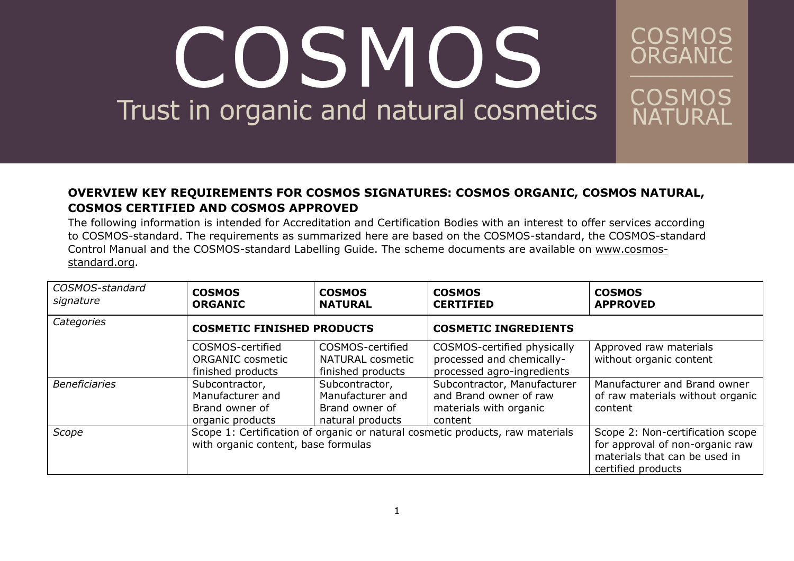#### **OVERVIEW KEY REQUIREMENTS FOR COSMOS SIGNATURES: COSMOS ORGANIC, COSMOS NATURAL, COSMOS CERTIFIED AND COSMOS APPROVED**

COSMOS

ORGANIC

COSMOS

NATURAL

The following information is intended for Accreditation and Certification Bodies with an interest to offer services according to COSMOS-standard. The requirements as summarized here are based on the COSMOS-standard, the COSMOS-standard Control Manual and the COSMOS-standard Labelling Guide. The scheme documents are available on [www.cosmos](http://www.cosmos-standard.org/)[standard.org.](http://www.cosmos-standard.org/)

| COSMOS-standard<br>signature | <b>COSMOS</b><br><b>ORGANIC</b>                                                                                      | <b>COSMOS</b><br><b>NATURAL</b>                                          | <b>COSMOS</b><br><b>CERTIFIED</b>                                                          | <b>COSMOS</b><br><b>APPROVED</b>                                                                                           |
|------------------------------|----------------------------------------------------------------------------------------------------------------------|--------------------------------------------------------------------------|--------------------------------------------------------------------------------------------|----------------------------------------------------------------------------------------------------------------------------|
| Categories                   | <b>COSMETIC FINISHED PRODUCTS</b>                                                                                    |                                                                          | <b>COSMETIC INGREDIENTS</b>                                                                |                                                                                                                            |
|                              | COSMOS-certified<br><b>ORGANIC cosmetic</b><br>finished products                                                     | COSMOS-certified<br><b>NATURAL cosmetic</b><br>finished products         | COSMOS-certified physically<br>processed and chemically-<br>processed agro-ingredients     | Approved raw materials<br>without organic content                                                                          |
| <b>Beneficiaries</b>         | Subcontractor,<br>Manufacturer and<br>Brand owner of<br>organic products                                             | Subcontractor,<br>Manufacturer and<br>Brand owner of<br>natural products | Subcontractor, Manufacturer<br>and Brand owner of raw<br>materials with organic<br>content | Manufacturer and Brand owner<br>of raw materials without organic<br>content                                                |
| Scope                        | Scope 1: Certification of organic or natural cosmetic products, raw materials<br>with organic content, base formulas |                                                                          |                                                                                            | Scope 2: Non-certification scope<br>for approval of non-organic raw<br>materials that can be used in<br>certified products |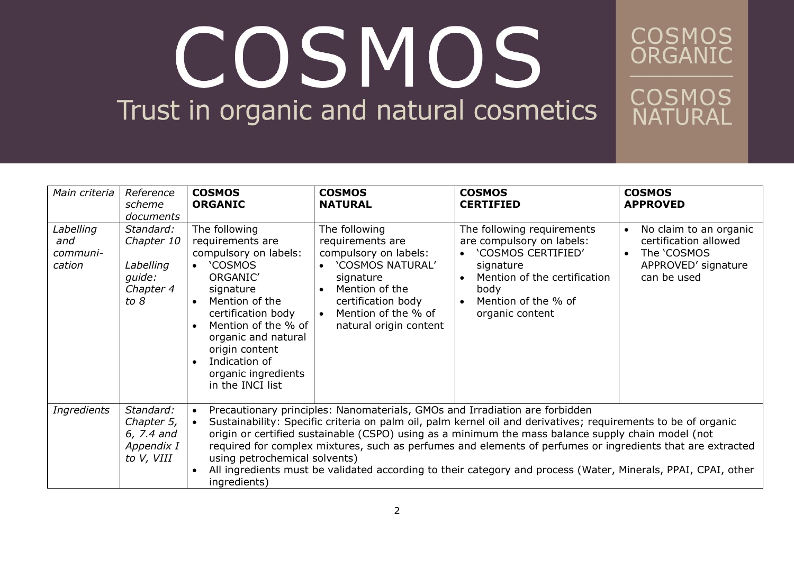**COSMOS**<br>ORGANIC

| Main criteria                          | Reference<br>scheme<br>documents                                    | <b>COSMOS</b><br><b>ORGANIC</b>                                                                                                                                                                                                                                                                                                                                                                                                                                                                                                                                                                              | <b>COSMOS</b><br><b>NATURAL</b>                                                                                                                                                                                  | <b>COSMOS</b><br><b>CERTIFIED</b>                                                                                                                                                         | <b>COSMOS</b><br><b>APPROVED</b>                                                                                               |  |
|----------------------------------------|---------------------------------------------------------------------|--------------------------------------------------------------------------------------------------------------------------------------------------------------------------------------------------------------------------------------------------------------------------------------------------------------------------------------------------------------------------------------------------------------------------------------------------------------------------------------------------------------------------------------------------------------------------------------------------------------|------------------------------------------------------------------------------------------------------------------------------------------------------------------------------------------------------------------|-------------------------------------------------------------------------------------------------------------------------------------------------------------------------------------------|--------------------------------------------------------------------------------------------------------------------------------|--|
| Labelling<br>and<br>communi-<br>cation | Standard:<br>Chapter 10<br>Labelling<br>quide:<br>Chapter 4<br>to 8 | The following<br>requirements are<br>compulsory on labels:<br><b>COSMOS</b><br>$\bullet$<br>ORGANIC'<br>signature<br>Mention of the<br>$\bullet$<br>certification body<br>Mention of the % of<br>$\bullet$<br>organic and natural<br>origin content<br>Indication of<br>$\bullet$<br>organic ingredients<br>in the INCI list                                                                                                                                                                                                                                                                                 | The following<br>requirements are<br>compulsory on labels:<br>• 'COSMOS NATURAL'<br>signature<br>Mention of the<br>$\bullet$<br>certification body<br>Mention of the % of<br>$\bullet$<br>natural origin content | The following requirements<br>are compulsory on labels:<br>'COSMOS CERTIFIED'<br>signature<br>Mention of the certification<br>body<br>Mention of the % of<br>$\bullet$<br>organic content | No claim to an organic<br>$\bullet$<br>certification allowed<br>The 'COSMOS<br>$\bullet$<br>APPROVED' signature<br>can be used |  |
| <b>Ingredients</b>                     | Standard:<br>Chapter 5,<br>6, 7.4 and<br>Appendix I<br>to V, VIII   | Precautionary principles: Nanomaterials, GMOs and Irradiation are forbidden<br>$\bullet$<br>Sustainability: Specific criteria on palm oil, palm kernel oil and derivatives; requirements to be of organic<br>origin or certified sustainable (CSPO) using as a minimum the mass balance supply chain model (not<br>required for complex mixtures, such as perfumes and elements of perfumes or ingredients that are extracted<br>using petrochemical solvents)<br>All ingredients must be validated according to their category and process (Water, Minerals, PPAI, CPAI, other<br>$\bullet$<br>ingredients) |                                                                                                                                                                                                                  |                                                                                                                                                                                           |                                                                                                                                |  |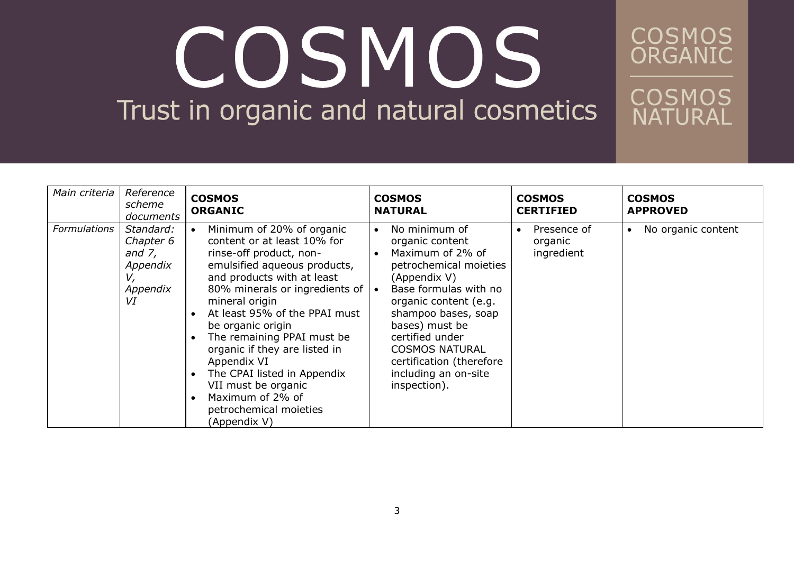| Main criteria       | Reference<br>scheme<br>documents                                        | <b>COSMOS</b><br><b>ORGANIC</b>                                                                                                                                                                                                                                                                                                                                                                                                                               | <b>COSMOS</b><br><b>NATURAL</b>                                                                                                                                                                                                                                                                                                                  | <b>COSMOS</b><br><b>CERTIFIED</b>    | <b>COSMOS</b><br><b>APPROVED</b> |
|---------------------|-------------------------------------------------------------------------|---------------------------------------------------------------------------------------------------------------------------------------------------------------------------------------------------------------------------------------------------------------------------------------------------------------------------------------------------------------------------------------------------------------------------------------------------------------|--------------------------------------------------------------------------------------------------------------------------------------------------------------------------------------------------------------------------------------------------------------------------------------------------------------------------------------------------|--------------------------------------|----------------------------------|
| <b>Formulations</b> | Standard:<br>Chapter 6<br>and $7$ ,<br>Appendix<br>V,<br>Appendix<br>VI | Minimum of 20% of organic<br>content or at least 10% for<br>rinse-off product, non-<br>emulsified aqueous products,<br>and products with at least<br>80% minerals or ingredients of<br>mineral origin<br>At least 95% of the PPAI must<br>be organic origin<br>The remaining PPAI must be<br>organic if they are listed in<br>Appendix VI<br>The CPAI listed in Appendix<br>VII must be organic<br>Maximum of 2% of<br>petrochemical moieties<br>(Appendix V) | No minimum of<br>$\bullet$<br>organic content<br>Maximum of 2% of<br>$\bullet$<br>petrochemical moieties<br>(Appendix V)<br>Base formulas with no<br>$\bullet$<br>organic content (e.g.<br>shampoo bases, soap<br>bases) must be<br>certified under<br><b>COSMOS NATURAL</b><br>certification (therefore<br>including an on-site<br>inspection). | Presence of<br>organic<br>ingredient | No organic content<br>$\bullet$  |

**COSMOS**<br>ORGANIC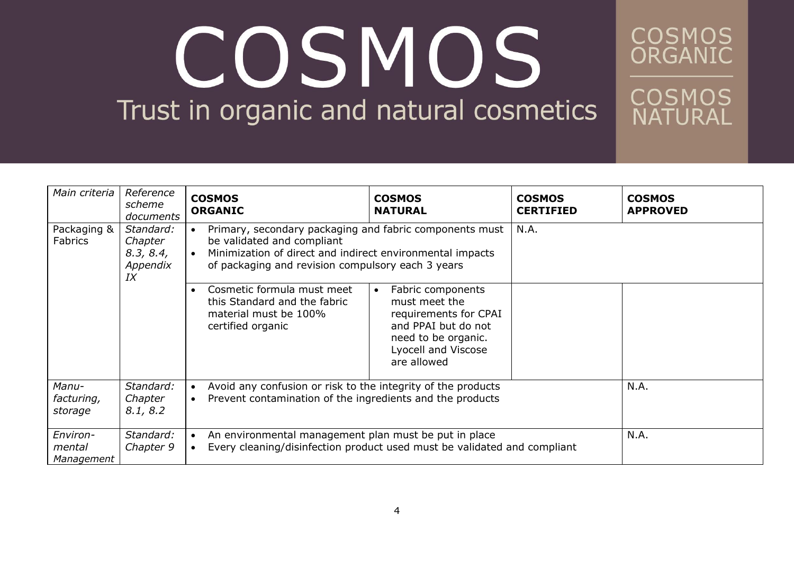**COSMOS**<br>ORGANIC

| Main criteria                    | Reference<br>scheme<br>documents                    | <b>COSMOS</b><br><b>ORGANIC</b>                                                                                                                                                                                      | <b>COSMOS</b><br><b>NATURAL</b>                                                                                                                              | <b>COSMOS</b><br><b>CERTIFIED</b> | <b>COSMOS</b><br><b>APPROVED</b> |
|----------------------------------|-----------------------------------------------------|----------------------------------------------------------------------------------------------------------------------------------------------------------------------------------------------------------------------|--------------------------------------------------------------------------------------------------------------------------------------------------------------|-----------------------------------|----------------------------------|
| Packaging &<br><b>Fabrics</b>    | Standard:<br>Chapter<br>8.3, 8.4,<br>Appendix<br>IX | Primary, secondary packaging and fabric components must<br>$\bullet$<br>be validated and compliant<br>Minimization of direct and indirect environmental impacts<br>of packaging and revision compulsory each 3 years |                                                                                                                                                              | N.A.                              |                                  |
|                                  |                                                     | Cosmetic formula must meet<br>this Standard and the fabric<br>material must be 100%<br>certified organic                                                                                                             | Fabric components<br>$\bullet$<br>must meet the<br>requirements for CPAI<br>and PPAI but do not<br>need to be organic.<br>Lyocell and Viscose<br>are allowed |                                   |                                  |
| Manu-<br>facturing,<br>storage   | Standard:<br>Chapter<br>8.1, 8.2                    | $\bullet$<br>$\bullet$                                                                                                                                                                                               | Avoid any confusion or risk to the integrity of the products<br>Prevent contamination of the ingredients and the products                                    |                                   | N.A.                             |
| Environ-<br>mental<br>Management | Standard:<br>Chapter 9                              | An environmental management plan must be put in place<br>$\bullet$<br>Every cleaning/disinfection product used must be validated and compliant<br>$\bullet$                                                          |                                                                                                                                                              | N.A.                              |                                  |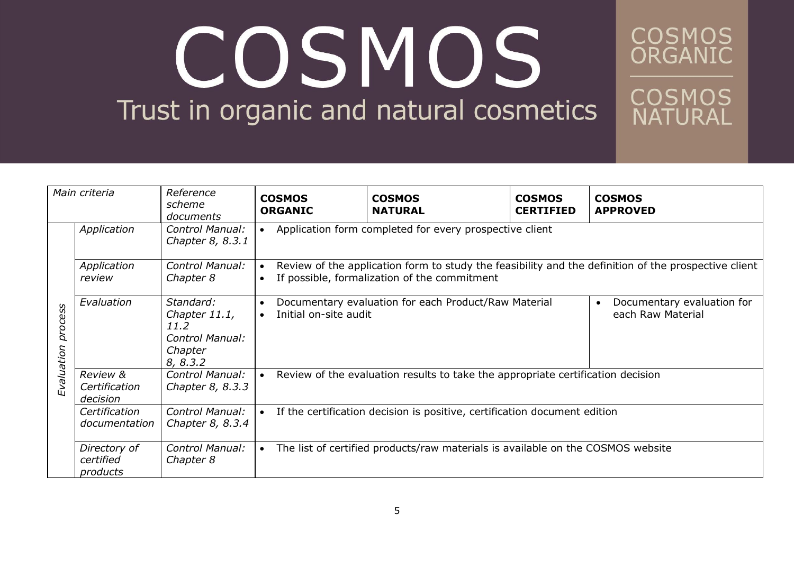**COSMOS**<br>ORGANIC

| Main criteria         |                                                  | Reference<br>scheme<br>documents                                                    | <b>COSMOS</b><br><b>ORGANIC</b>                                                                                                                                                | <b>COSMOS</b><br><b>NATURAL</b> | <b>COSMOS</b><br><b>CERTIFIED</b> | <b>COSMOS</b><br><b>APPROVED</b> |  |
|-----------------------|--------------------------------------------------|-------------------------------------------------------------------------------------|--------------------------------------------------------------------------------------------------------------------------------------------------------------------------------|---------------------------------|-----------------------------------|----------------------------------|--|
|                       | Application                                      | Control Manual:<br>Chapter 8, 8.3.1                                                 | Application form completed for every prospective client                                                                                                                        |                                 |                                   |                                  |  |
|                       | Application<br>review                            | Control Manual:<br>Chapter 8                                                        | Review of the application form to study the feasibility and the definition of the prospective client<br>$\bullet$<br>If possible, formalization of the commitment<br>$\bullet$ |                                 |                                   |                                  |  |
| process<br>Evaluation | Evaluation                                       | Standard:<br>Chapter 11.1,<br>11.2<br><b>Control Manual:</b><br>Chapter<br>8, 8.3.2 | Documentary evaluation for each Product/Raw Material<br>Documentary evaluation for<br>Initial on-site audit<br>each Raw Material<br>$\bullet$                                  |                                 |                                   |                                  |  |
|                       | <b>Review &amp;</b><br>Certification<br>decision | Control Manual:<br>Chapter 8, 8.3.3                                                 | Review of the evaluation results to take the appropriate certification decision<br>$\bullet$                                                                                   |                                 |                                   |                                  |  |
|                       | Certification<br>documentation                   | <b>Control Manual:</b><br>Chapter 8, 8.3.4                                          | If the certification decision is positive, certification document edition                                                                                                      |                                 |                                   |                                  |  |
|                       | Directory of<br>certified<br>products            | Control Manual:<br>Chapter 8                                                        | The list of certified products/raw materials is available on the COSMOS website<br>$\bullet$                                                                                   |                                 |                                   |                                  |  |